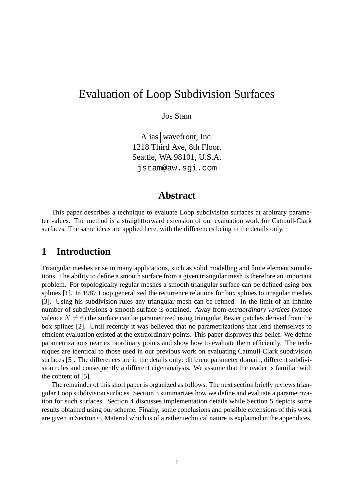# Evaluation of Loop Subdivision Surfaces

Jos Stam

Alias wavefront, Inc. 1218 Third Ave, 8th Floor, Seattle, WA 98101, U.S.A. jstam@aw.sgi.com

### **Abstract**

This paper describes a technique to evaluate Loop subdivision surfaces at arbitrary parameter values. The method is a straightforward extension of our evaluation work for Catmull-Clark surfaces. The same ideas are applied here, with the differences being in the details only.

## **1 Introduction**

Triangular meshes arise in many applications, such as solid modelling and finite element simulations. The ability to define a smooth surface from a given triangular mesh is therefore an important problem. For topologically regular meshes a smooth triangular surface can be defined using box splines [1]. In 1987 Loop generalized the recurrence relations for box splines to irregular meshes [3]. Using his subdivision rules any triangular mesh can be refined. In the limit of an infinite number of subdivisions a smooth surface is obtained. Away from *extraordinary vertices* (whose valence  $N \neq 6$ ) the surface can be parametrized using triangular Bezier patches derived from the box splines [2]. Until recently it was believed that no parametrizations that lend themselves to efficient evaluation existed at the extraordinary points. This paper disproves this belief. We define parametrizations near extraordinary points and show how to evaluate them efficiently. The techniques are identical to those used in our previous work on evaluating Catmull-Clark subdivision surfaces [5]. The differences are in the details only: different parameter domain, different subdivision rules and consequently a different eigenanalysis. We assume that the reader is familiar with the content of [5].

The remainder of this short paper is organized as follows. The next section briefly reviews triangular Loop subdivision surfaces. Section 3 summarizes how we define and evaluate a parametrization for such surfaces. Section 4 discusses implementation details while Section 5 depicts some results obtained using our scheme. Finally, some conclusions and possible extensions of this work are given in Section 6. Material which is of a rather technical nature is explained in the appendices.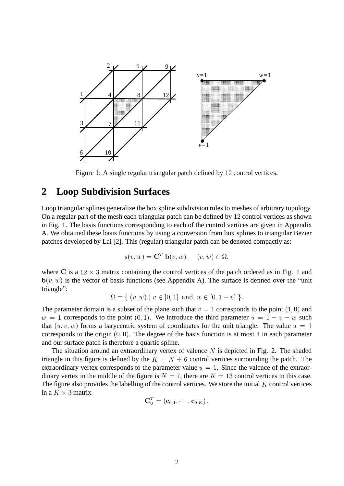

Figure 1: A single regular triangular patch defined by 12 control vertices.

## **2 Loop Subdivision Surfaces**

Loop triangular splines generalize the box spline subdivision rules to meshes of arbitrary topology. On a regular part of the mesh each triangular patch can be defined by 12 control vertices as shown in Fig. 1. The basis functions corresponding to each of the control vertices are given in Appendix A. We obtained these basis functions by using a conversion from box splines to triangular Bezier patches developed by Lai [2]. This (regular) triangular patch can be denoted compactly as:

$$
\mathbf{s}(v, w) = \mathbf{C}^T \mathbf{b}(v, w), \quad (v, w) \in \Omega,
$$

where C is a  $12 \times 3$  matrix containing the control vertices of the patch ordered as in Fig. 1 and  $\mathbf{b}(v, w)$  is the vector of basis functions (see Appendix A). The surface is defined over the "unit triangle":

$$
\Omega = \{ (v, w) \mid v \in [0, 1] \text{ and } w \in [0, 1 - v] \}.
$$

The parameter domain is a subset of the plane such that  $v = 1$  corresponds to the point  $(1, 0)$  and  $w = 1$  corresponds to the point  $(0, 1)$ . We introduce the third parameter  $u = 1 - v - w$  such that  $(u, v, w)$  forms a barycentric system of coordinates for the unit triangle. The value  $u = 1$ corresponds to the origin  $(0, 0)$ . The degree of the basis function is at most 4 in each parameter and our surface patch is therefore a quartic spline.

The situation around an extraordinary vertex of valence  $N$  is depicted in Fig. 2. The shaded triangle in this figure is defined by the  $K = N + 6$  control vertices surrounding the patch. The extraordinary vertex corresponds to the parameter value  $u = 1$ . Since the valence of the extraordinary vertex in the middle of the figure is  $N = 7$ , there are  $K = 13$  control vertices in this case. The figure also provides the labelling of the control vertices. We store the initial  $K$  control vertices in a  $K \times 3$  matrix

$$
\mathbf{C}^T_0 = \left(\mathbf{c}_{0,1},\cdots,\mathbf{c}_{0,K}\right).
$$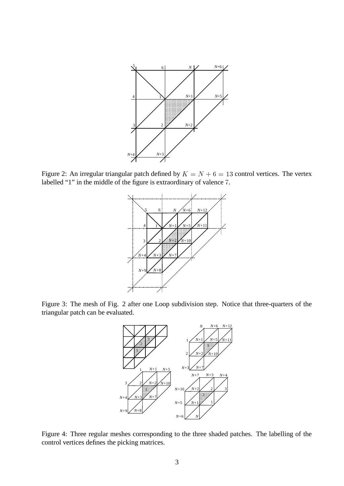

Figure 2: An irregular triangular patch defined by  $K = N + 6 = 13$  control vertices. The vertex labelled "1" in the middle of the figure is extraordinary of valence 7.



Figure 3: The mesh of Fig. 2 after one Loop subdivision step. Notice that three-quarters of the triangular patch can be evaluated.



Figure 4: Three regular meshes corresponding to the three shaded patches. The labelling of the control vertices defines the picking matrices.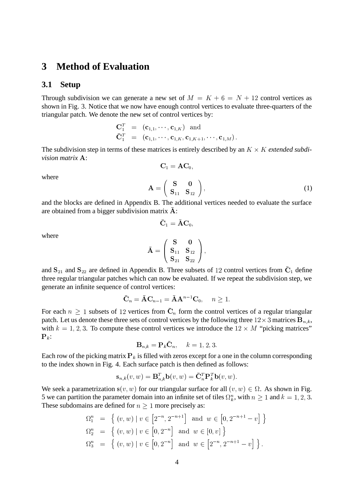#### **3 Method of Evaluation**

#### **3.1 Setup**

Through subdivision we can generate a new set of  $M = K + 6 = N + 12$  control vertices as shown in Fig. 3. Notice that we now have enough control vertices to evaluate three-quarters of the triangular patch. We denote the new set of control vertices by:

$$
\begin{array}{rcl}\n\mathbf{C}_1^T & = & (\mathbf{c}_{1,1}, \cdots, \mathbf{c}_{1,K}) \quad \text{and} \\
\bar{\mathbf{C}}_1^T & = & (\mathbf{c}_{1,1}, \cdots, \mathbf{c}_{1,K}, \mathbf{c}_{1,K+1}, \cdots, \mathbf{c}_{1,M}).\n\end{array}
$$

The subdivision step in terms of these matrices is entirely described by an  $K \times K$  *extended subdivision matrix* A:

 $C_1 = AC_0$ .

where

$$
\mathbf{A} = \begin{pmatrix} \mathbf{S} & \mathbf{0} \\ \mathbf{S}_{11} & \mathbf{S}_{12} \end{pmatrix},\tag{1}
$$

and the blocks are defined in Appendix B. The additional vertices needed to evaluate the surface are obtained from a bigger subdivision matrix  $\overline{A}$ :

$$
\bar{\textbf{C}}_1 = \bar{\textbf{A}} \textbf{C}_0,
$$

where

$$
\bar{\mathbf{A}} = \left(\begin{array}{cc}\mathbf{S} & \mathbf{0} \\ \mathbf{S}_{11} & \mathbf{S}_{12} \\ \mathbf{S}_{21} & \mathbf{S}_{22} \end{array}\right),
$$

and  $S_{21}$  and  $S_{22}$  are defined in Appendix B. Three subsets of 12 control vertices from  $\bar{C}_1$  define three regular triangular patches which can now be evaluated. If we repeat the subdivision step, we generate an infinite sequence of control vertices:

$$
\bar{\mathbf{C}}_n = \bar{\mathbf{A}} \mathbf{C}_{n-1} = \bar{\mathbf{A}} \mathbf{A}^{n-1} \mathbf{C}_0, \quad n \ge 1.
$$

For each  $n \geq 1$  subsets of 12 vertices from  $\overline{C}_n$  form the control vertices of a regular triangular patch. Let us denote these three sets of control vertices by the following three  $12 \times 3$  matrices  ${\bf B}_{n,k},$ with  $k = 1, 2, 3$ . To compute these control vertices we introduce the  $12 \times M$  "picking matrices"  $\mathbf{P}_k$ :

$$
\mathbf{B}_{n,k} = \mathbf{P}_k \bar{\mathbf{C}}_n, \quad k = 1, 2, 3.
$$

Each row of the picking matrix  $P_k$  is filled with zeros except for a one in the column corresponding to the index shown in Fig. 4. Each surface patch is then defined as follows:

$$
\mathbf{s}_{n,k}(v,w) = \mathbf{B}_{n,k}^T \mathbf{b}(v,w) = \bar{\mathbf{C}}_n^T \mathbf{P}_k^T \mathbf{b}(v,w).
$$

We seek a parametrization  $s(v, w)$  for our triangular surface for all  $(v, w) \in \Omega$ . As shown in Fig. 5 we can partition the parameter domain into an infinite set of tiles  $\Omega_k^n$ , with  $n \geq 1$  and  $k = 1, 2, 3$ . These subdomains are defined for  $n \geq 1$  more precisely as:

$$
\Omega_1^n = \left\{ (v, w) \mid v \in \left[2^{-n}, 2^{-n+1}\right] \text{ and } w \in \left[0, 2^{-n+1} - v\right] \right\}
$$
  
\n
$$
\Omega_2^n = \left\{ (v, w) \mid v \in \left[0, 2^{-n}\right] \text{ and } w \in \left[0, v\right] \right\}
$$
  
\n
$$
\Omega_3^n = \left\{ (v, w) \mid v \in \left[0, 2^{-n}\right] \text{ and } w \in \left[2^{-n}, 2^{-n+1} - v\right] \right\}.
$$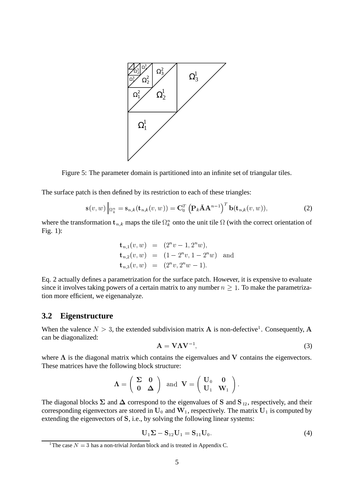

Figure 5: The parameter domain is partitioned into an infinite set of triangular tiles.

The surface patch is then defined by its restriction to each of these triangles:

$$
\mathbf{s}(v,w)\Big|_{\Omega_k^n} = \mathbf{s}_{n,k}(\mathbf{t}_{n,k}(v,w)) = \mathbf{C}_0^T \left(\mathbf{P}_k \bar{\mathbf{A}} \mathbf{A}^{n-1}\right)^T \mathbf{b}(\mathbf{t}_{n,k}(v,w)),\tag{2}
$$

where the transformation  $t_{n,k}$  maps the tile  $\Omega_k^n$  onto the unit tile  $\Omega$  (with the correct orientation of Fig. 1):

$$
\begin{aligned}\n\mathbf{t}_{n,1}(v, w) &= (2^n v - 1, 2^n w), \\
\mathbf{t}_{n,2}(v, w) &= (1 - 2^n v, 1 - 2^n w) \quad \text{and} \\
\mathbf{t}_{n,3}(v, w) &= (2^n v, 2^n w - 1).\n\end{aligned}
$$

Eq. 2 actually defines a parametrization for the surface patch. However, it is expensive to evaluate since it involves taking powers of a certain matrix to any number  $n \geq 1$ . To make the parametrization more efficient, we eigenanalyze.

#### **3.2 Eigenstructure**

When the valence  $N > 3$ , the extended subdivision matrix A is non-defective<sup>1</sup>. Consequently, A can be diagonalized:

$$
\mathbf{A} = \mathbf{V}\Lambda\mathbf{V}^{-1},\tag{3}
$$

where  $\Lambda$  is the diagonal matrix which contains the eigenvalues and V contains the eigenvectors. These matrices have the following block structure:

$$
\Lambda = \left( \begin{array}{cc} \Sigma & 0 \\ 0 & \Delta \end{array} \right) \ \ \text{and} \ \ \mathbf{V} = \left( \begin{array}{cc} \mathbf{U}_0 & 0 \\ \mathbf{U}_1 & \mathbf{W}_1 \end{array} \right).
$$

The diagonal blocks  $\Sigma$  and  $\Delta$  correspond to the eigenvalues of S and S<sub>12</sub>, respectively, and their corresponding eigenvectors are stored in  $U_0$  and  $W_1$ , respectively. The matrix  $U_1$  is computed by extending the eigenvectors of S, i.e., by solving the following linear systems:

$$
U_1 \Sigma - S_{12} U_1 = S_{11} U_0. \tag{4}
$$

<sup>&</sup>lt;sup>1</sup> The case  $N = 3$  has a non-trivial Jordan block and is treated in Appendix C.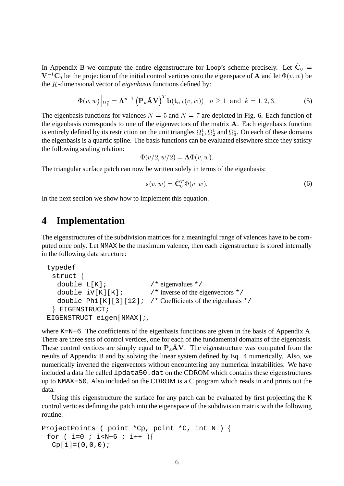In Appendix B we compute the entire eigenstructure for Loop's scheme precisely. Let  $\hat{C}_0$  =  $V^{-1}\overline{C}_0$  be the projection of the initial control vertices onto the eigenspace of A and let  $\Phi(v, w)$  be the K-dimensional vector of *eigenbasis* functions defined by:

$$
\Phi(v, w) \Big|_{\Omega_k^n} = \Lambda^{n-1} \left( \mathbf{P}_k \bar{\mathbf{A}} \mathbf{V} \right)^T \mathbf{b}(\mathbf{t}_{n,k}(v, w)) \quad n \ge 1 \text{ and } k = 1, 2, 3. \tag{5}
$$

The eigenbasis functions for valences  $N = 5$  and  $N = 7$  are depicted in Fig. 6. Each function of the eigenbasis corresponds to one of the eigenvectors of the matrix  $A$ . Each eigenbasis function is entirely defined by its restriction on the unit triangles  $\Omega_1^1$ ,  $\Omega_2^1$  and  $\Omega_3^1$ . On each of these domains the eigenbasis is a quartic spline. The basis functions can be evaluated elsewhere since they satisfy the following scaling relation:

$$
\Phi(v/2, w/2) = \mathbf{\Lambda}\Phi(v, w).
$$

The triangular surface patch can now be written solely in terms of the eigenbasis:

$$
\mathbf{s}(v, w) = \hat{\mathbf{C}}_0^T \Phi(v, w). \tag{6}
$$

In the next section we show how to implement this equation.

## **4 Implementation**

The eigenstructures of the subdivision matrices for a meaningful range of valences have to be computed once only. Let NMAX be the maximum valence, then each eigenstructure is stored internally in the following data structure:

```
typedef
 struct {
  double L[K]; /* eigenvalues */
  double iV[K][K]; /* inverse of the eigenvectors */
  double Phi[K][3][12]; /* Coefficients of the eigenbasis */} EIGENSTRUCT;
EIGENSTRUCT eigen[NMAX];,
```
where K=N+6. The coefficients of the eigenbasis functions are given in the basis of Appendix A. There are three sets of control vertices, one for each of the fundamental domains of the eigenbasis. These control vertices are simply equal to  $P_k\overline{A}V$ . The eigenstructure was computed from the results of Appendix B and by solving the linear system defined by Eq. 4 numerically. Also, we numerically inverted the eigenvectors without encountering any numerical instabilities. We have included a data file called 1 pdata50.dat on the CDROM which contains these eigenstructures up to NMAX=50. Also included on the CDROM is a C program which reads in and prints out the data.

Using this eigenstructure the surface for any patch can be evaluated by first projecting the K control vertices defining the patch into the eigenspace of the subdivision matrix with the following routine.

```
ProjectPoints ( point *Cp, point *C, int N ) {
 for ( i=0 ; i< N+6 ; i++ ) {
  Cp[i] = (0,0,0);
```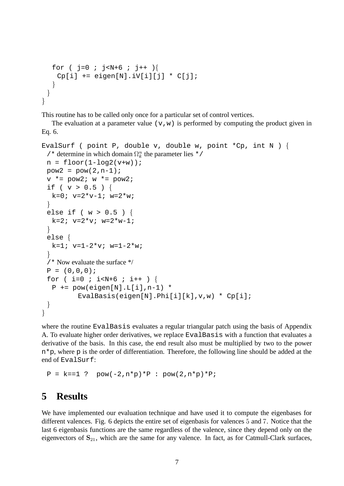```
for ( j=0 ; j<N+6 ; j++ ) {
    Cp[i] += eigen[N].iV[i][j] * C[j];
  2
 \}\mathcal{E}
```
This routine has to be called only once for a particular set of control vertices.

The evaluation at a parameter value  $(v,w)$  is performed by computing the product given in Eq. 6.

```
EvalSurf ( point P, double v, double w, point {}^*Cp, int N ) {
  /* determine in which domain \Omega_k^n the parameter lies */
  n = \text{floor}(1-\log2(v+w));pow2 = pow(2, n-1);v * = pow2; w * = pow2;if ( v > 0.5 ) {
    k=0; y=2*y-1; w=2*w;and the contract of the contract of the contract of the contract of the contract of the contract of the contract of
  else if ( w > 0.5 ) {
    k=2; v=2*v; w=2*w-1;2
  else !
    k=1; v=1-2*v; w=1-2*w;and the contract of the contract of the contract of the contract of the contract of the contract of the contract of
  /* Now evaluate the surface */
  P = (0,0,0);for ( i=0 ; i< N+6 ; i++ ) {
    P += pow(eigen[N].L[i],n-1) *
                EvalBasis(eigen[N].Phi[i][k],v,w) * Cp[i];
   and the contract of the contract of the contract of the contract of the contract of the contract of the contract of
2
```
where the routine EvalBasis evaluates a regular triangular patch using the basis of Appendix A. To evaluate higher order derivatives, we replace EvalBasis with a function that evaluates a derivative of the basis. In this case, the end result also must be multiplied by two to the power n\*p, where p is the order of differentiation. Therefore, the following line should be added at the end of EvalSurf:

 $P = k == 1$  ?  $pow(-2, n*p)*P$  :  $pow(2, n*p)*P$ ;

## **5 Results**

We have implemented our evaluation technique and have used it to compute the eigenbases for different valences. Fig. 6 depicts the entire set of eigenbasis for valences 5 and 7. Notice that the last 6 eigenbasis functions are the same regardless of the valence, since they depend only on the eigenvectors of  $S_{21}$ , which are the same for any valence. In fact, as for Catmull-Clark surfaces,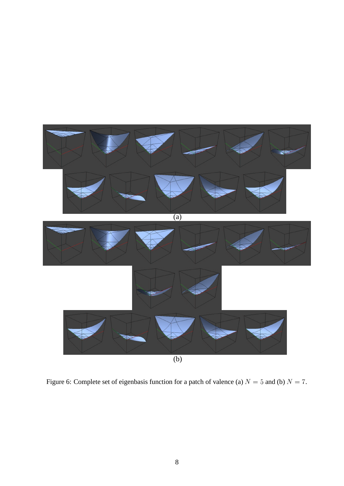

Figure 6: Complete set of eigenbasis function for a patch of valence (a)  $N = 5$  and (b)  $N = 7$ .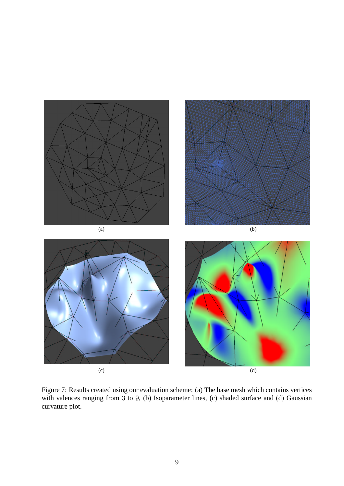

Figure 7: Results created using our evaluation scheme: (a) The base mesh which contains vertices with valences ranging from 3 to 9, (b) Isoparameter lines, (c) shaded surface and (d) Gaussian curvature plot.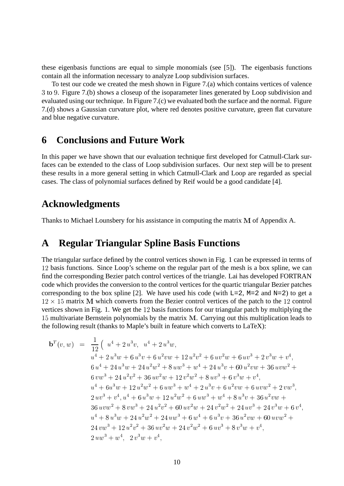these eigenbasis functions are equal to simple monomials (see [5]). The eigenbasis functions contain all the information necessary to analyze Loop subdivision surfaces.

To test our code we created the mesh shown in Figure 7.(a) which contains vertices of valence 3 to 9. Figure 7.(b) shows a closeup of the isoparameter lines generated by Loop subdivision and evaluated using our technique. In Figure 7.(c) we evaluated both the surface and the normal. Figure 7.(d) shows a Gaussian curvature plot, where red denotes positive curvature, green flat curvature and blue negative curvature.

## **6 Conclusions and Future Work**

In this paper we have shown that our evaluation technique first developed for Catmull-Clark surfaces can be extended to the class of Loop subdivision surfaces. Our next step will be to present these results in a more general setting in which Catmull-Clark and Loop are regarded as special cases. The class of polynomial surfaces defined by Reif would be a good candidate [4].

## **Acknowledgments**

Thanks to Michael Lounsbery for his assistance in computing the matrix  $M$  of Appendix A.

## **A Regular Triangular Spline Basis Functions**

The triangular surface defined by the control vertices shown in Fig. 1 can be expressed in terms of 12 basis functions. Since Loop's scheme on the regular part of the mesh is a box spline, we can find the corresponding Bezier patch control vertices of the triangle. Lai has developed FORTRAN code which provides the conversion to the control vertices for the quartic triangular Bezier patches corresponding to the box spline [2]. We have used his code (with  $L=2$ ,  $M=2$  and  $N=2$ ) to get a  $12 \times 15$  matrix M which converts from the Bezier control vertices of the patch to the 12 control vertices shown in Fig. 1. We get the  $12$  basis functions for our triangular patch by multiplying the 15 multivariate Bernstein polynomials by the matrix M. Carrying out this multiplication leads to the following result (thanks to Maple's built in feature which converts to LaTeX):

$$
b^{T}(v, w) = \frac{1}{12} \left( u^{4} + 2 u^{3} v, u^{4} + 2 u^{3} w \right) \n u^{4} + 2 u^{3} w + 6 u^{3} v + 6 u^{2} v w + 12 u^{2} v^{2} + 6 u v^{2} w + 6 u v^{3} + 2 v^{3} w + v^{4}, \n 6 u^{4} + 24 u^{3} w + 24 u^{2} w^{2} + 8 u w^{3} + w^{4} + 24 u^{3} v + 60 u^{2} v w + 36 u v w^{2} + \n 6 v w^{3} + 24 u^{2} v^{2} + 36 u v^{2} w + 12 v^{2} w^{2} + 8 u v^{3} + 6 v^{3} w + v^{4}, \n u^{4} + 6 u^{3} w + 12 u^{2} w^{2} + 6 u w^{3} + w^{4} + 2 u^{3} v + 6 u^{2} v w + 6 u v w^{2} + 2 v w^{3}, \n 2 u v^{3} + v^{4}, u^{4} + 6 u^{3} w + 12 u^{2} w^{2} + 6 u w^{3} + w^{4} + 8 u^{3} v + 36 u^{2} v w + \n 36 u v w^{2} + 8 v w^{3} + 24 u^{2} v^{2} + 60 u v^{2} w + 24 v^{2} w^{2} + 24 u v^{3} + 24 v^{3} w + 6 v^{4}, \n u^{4} + 8 u^{3} w + 24 u^{2} w^{2} + 24 u w^{3} + 6 w^{4} + 6 u^{3} v + 36 u^{2} v w + 60 u v w^{2} + \n 24 v w^{3} + 12 u^{2} v^{2} + 36 u v^{2} w + 24 v^{2} w^{2} + 6 u v^{3} + 8 v^{3} w + v^{4}, \n 2 u w^{3} + w^{4}, 2 v^{3} w + v^{4},
$$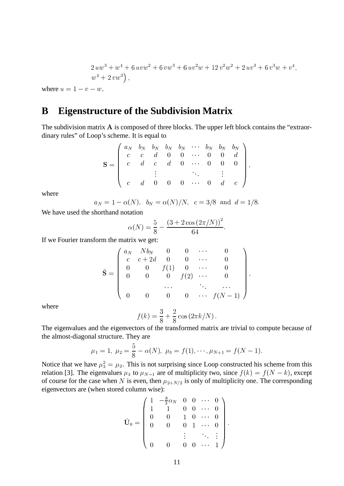$$
2 u w3 + w4 + 6 u v w2 + 6 v w3 + 6 u v2 w + 12 v2 w2 + 2 u v3 + 6 v3 w + v4,
$$
  

$$
w4 + 2 v w3),
$$

where  $u = 1 - v - w$ .

## **B Eigenstructure of the Subdivision Matrix**

The subdivision matrix  $A$  is composed of three blocks. The upper left block contains the "extraordinary rules" of Loop's scheme. It is equal to

$$
\mathbf{S} = \left( \begin{array}{cccccc} a_N & b_N & b_N & b_N & b_N & \cdots & b_N & b_N & b_N \\ c & c & d & 0 & 0 & \cdots & 0 & 0 & d \\ c & d & c & d & 0 & \cdots & 0 & 0 & 0 \\ \vdots & & & & \ddots & & \vdots & \\ c & d & 0 & 0 & 0 & \cdots & 0 & d & c \end{array} \right),
$$

where

$$
a_N = 1 - \alpha(N)
$$
,  $b_N = \alpha(N)/N$ ,  $c = 3/8$  and  $d = 1/8$ .

We have used the shorthand notation

$$
\alpha(N) = \frac{5}{8} - \frac{(3 + 2\cos(2\pi/N))^2}{64}.
$$

If we Fourier transform the matrix we get:

$$
\hat{\mathbf{S}} = \left( \begin{array}{cccccc} a_N & Nb_N & 0 & 0 & \cdots & 0 \\ c & c + 2d & 0 & 0 & \cdots & 0 \\ 0 & 0 & f(1) & 0 & \cdots & 0 \\ 0 & 0 & 0 & f(2) & \cdots & 0 \\ & & & \cdots & \ddots & \cdots \\ 0 & 0 & 0 & 0 & \cdots & f(N-1) \end{array} \right),
$$

where

$$
f(k) = \frac{3}{8} + \frac{2}{8} \cos(2\pi k/N).
$$

The eigenvalues and the eigenvectors of the transformed matrix are trivial to compute because of the almost-diagonal structure. They are

$$
\mu_1 = 1, \ \mu_2 = \frac{5}{8} - \alpha(N), \ \mu_3 = f(1), \cdots, \mu_{N+1} = f(N-1).
$$

Notice that we have  $\mu_3^2 = \mu_2$ . This is not surprising since Loop constructed his scheme from this relation [3]. The eigenvalues  $\mu_3$  to  $\mu_{N-1}$  are of multiplicity two, since  $f(k) = f(N - k)$ , except of course for the case when N is even, then  $\mu_{2+N/2}$  is only of multiplicity one. The corresponding eigenvectors are (when stored column wise):

$$
\hat{\mathbf{U}}_0 = \begin{pmatrix} 1 & -\frac{8}{3}\alpha_N & 0 & 0 & \cdots & 0 \\ 1 & 1 & 0 & 0 & \cdots & 0 \\ 0 & 0 & 1 & 0 & \cdots & 0 \\ 0 & 0 & 0 & 1 & \cdots & 0 \\ & & & \vdots & & \ddots & \vdots \\ 0 & 0 & 0 & 0 & \cdots & 1 \end{pmatrix}.
$$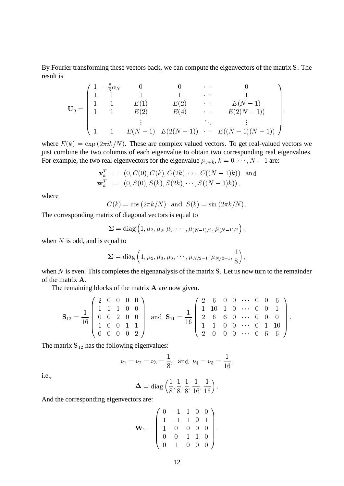By Fourier transforming these vectors back, we can compute the eigenvectors of the matrix S. The result is

$$
\mathbf{U}_0 = \begin{pmatrix} 1 & -\frac{8}{3}\alpha_N & 0 & 0 & \cdots & 0 \\ 1 & 1 & 1 & 1 & \cdots & 1 \\ 1 & 1 & E(1) & E(2) & \cdots & E(N-1) \\ 1 & 1 & E(2) & E(4) & \cdots & E(2(N-1)) \\ \vdots & \vdots & \ddots & \vdots & \vdots \\ 1 & 1 & E(N-1) & E(2(N-1)) & \cdots & E((N-1)(N-1)) \end{pmatrix},
$$

where  $E(k) = \exp(2\pi i k/N)$ . These are complex valued vectors. To get real-valued vectors we just combine the two columns of each eigenvalue to obtain two corresponding real eigenvalues. For example, the two real eigenvectors for the eigenvalue  $\mu_{3+k}$ ,  $k = 0, \dots, N-1$  are:

$$
\mathbf{v}_k^T = (0, C(0), C(k), C(2k), \cdots, C((N-1)k)) \text{ and}
$$
  

$$
\mathbf{w}_k^T = (0, S(0), S(k), S(2k), \cdots, S((N-1)k)),
$$

where

$$
C(k) = \cos(2\pi k/N) \text{ and } S(k) = \sin(2\pi k/N).
$$

The corresponding matrix of diagonal vectors is equal to

$$
\mathbf{\Sigma} = \mathrm{diag}\left(1, \mu_2, \mu_3, \mu_3, \cdots, \mu_{(N-1)/2}, \mu_{(N-1)/2}\right),
$$

when  $N$  is odd, and is equal to

$$
\mathbf{\Sigma} = \mathrm{diag}\left(1, \mu_2, \mu_3, \mu_3, \cdots, \mu_{N/2-1}, \mu_{N/2-1}, \frac{1}{8}\right),
$$

when  $N$  is even. This completes the eigenanalysis of the matrix  $S$ . Let us now turn to the remainder of the matrix A.

The remaining blocks of the matrix  $A$  are now given.

$$
\mathbf{S}_{12} = \frac{1}{16} \begin{pmatrix} 2 & 0 & 0 & 0 & 0 \\ 1 & 1 & 1 & 0 & 0 \\ 0 & 0 & 2 & 0 & 0 \\ 1 & 0 & 0 & 1 & 1 \\ 0 & 0 & 0 & 0 & 2 \end{pmatrix} \text{ and } \mathbf{S}_{11} = \frac{1}{16} \begin{pmatrix} 2 & 6 & 0 & 0 & \cdots & 0 & 0 & 6 \\ 1 & 10 & 1 & 0 & \cdots & 0 & 0 & 1 \\ 2 & 6 & 6 & 0 & \cdots & 0 & 0 & 0 \\ 1 & 1 & 0 & 0 & \cdots & 0 & 1 & 10 \\ 2 & 0 & 0 & 0 & \cdots & 0 & 6 & 6 \end{pmatrix}.
$$

**442 - 1970 - 1970 - 1970 - 1970 - 1970 - 1970 - 1970 - 1970 - 1970 - 1970 - 1970 - 1970 - 1970 - 1970 - 1970** 

The matrix  $S_{12}$  has the following eigenvalues:

$$
\nu_1 = \nu_2 = \nu_3 = \frac{1}{8}
$$
, and  $\nu_4 = \nu_5 = \frac{1}{16}$ ,

i.e.,

$$
\mathbf{\Delta} = \text{diag}\left(\frac{1}{8}, \frac{1}{8}, \frac{1}{8}, \frac{1}{16}, \frac{1}{16}\right).
$$

And the corresponding eigenvectors are:

$$
\mathbf{W}_1 = \left( \begin{array}{cccc} 0 & -1 & 1 & 0 & 0 \\ 1 & -1 & 1 & 0 & 1 \\ 1 & 0 & 0 & 0 & 0 \\ 0 & 0 & 1 & 1 & 0 \\ 0 & 1 & 0 & 0 & 0 \end{array} \right).
$$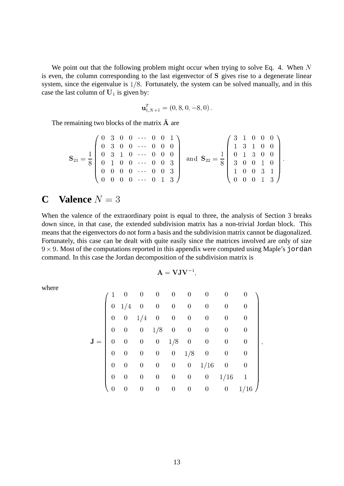We point out that the following problem might occur when trying to solve Eq. 4. When  $N$ is even, the column corresponding to the last eigenvector of S gives rise to a degenerate linear system, since the eigenvalue is  $1/8$ . Fortunately, the system can be solved manually, and in this case the last column of  $U_1$  is given by:

$$
\mathbf{u}_{1,N+1}^T = (0,8,0,-8,0).
$$

The remaining two blocks of the matrix  $\overline{A}$  are

$$
\mathbf{S}_{21} = \frac{1}{8} \left( \begin{array}{cccccc} 0 & 3 & 0 & 0 & \cdots & 0 & 0 & 1 \\ 0 & 3 & 0 & 0 & \cdots & 0 & 0 & 0 \\ 0 & 3 & 1 & 0 & \cdots & 0 & 0 & 0 \\ 0 & 1 & 0 & 0 & \cdots & 0 & 0 & 3 \\ 0 & 0 & 0 & 0 & \cdots & 0 & 0 & 3 \\ 0 & 0 & 0 & 0 & \cdots & 0 & 1 & 3 \end{array} \right) \text{ and } \mathbf{S}_{22} = \frac{1}{8} \left( \begin{array}{cccc} 3 & 1 & 0 & 0 & 0 \\ 1 & 3 & 1 & 0 & 0 \\ 0 & 1 & 3 & 0 & 0 \\ 3 & 0 & 0 & 1 & 0 \\ 1 & 0 & 0 & 3 & 1 \\ 0 & 0 & 0 & 1 & 3 \end{array} \right).
$$

## **C Valence**  $N = 3$

When the valence of the extraordinary point is equal to three, the analysis of Section 3 breaks down since, in that case, the extended subdivision matrix has a non-trivial Jordan block. This means that the eigenvectors do not form a basis and the subdivision matrix cannot be diagonalized. Fortunately, this case can be dealt with quite easily since the matrices involved are only of size  $9 \times 9$ . Most of the computations reported in this appendix were computed using Maple's jordan command. In this case the Jordan decomposition of the subdivision matrix is

$$
\mathbf{A} = \mathbf{V}\mathbf{J}\mathbf{V}^{-1},
$$

$$
\mathbf{J} = \begin{pmatrix} 1 & 0 & 0 & 0 & 0 & 0 & 0 & 0 & 0 & 0 \\ 0 & 1/4 & 0 & 0 & 0 & 0 & 0 & 0 & 0 & 0 \\ 0 & 0 & 1/4 & 0 & 0 & 0 & 0 & 0 & 0 & 0 \\ 0 & 0 & 0 & 1/8 & 0 & 0 & 0 & 0 & 0 & 0 \\ 0 & 0 & 0 & 0 & 1/8 & 0 & 0 & 0 & 0 & 0 \\ 0 & 0 & 0 & 0 & 0 & 1/16 & 0 & 0 & 0 \\ 0 & 0 & 0 & 0 & 0 & 0 & 0 & 1/16 & 1 \\ 0 & 0 & 0 & 0 & 0 & 0 & 0 & 0 & 1/16 & 1 \end{pmatrix},
$$

where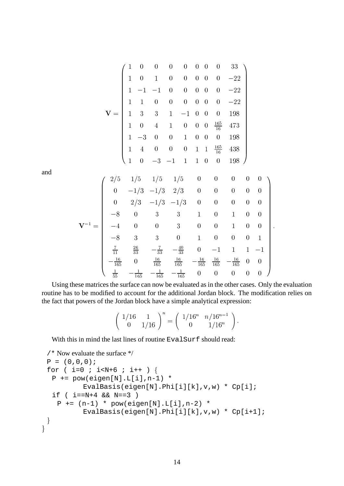$$
\mathbf{V} = \begin{pmatrix}\n1 & 0 & 0 & 0 & 0 & 0 & 0 & 0 & 33 \\
1 & 0 & 1 & 0 & 0 & 0 & 0 & 0 & -22 \\
1 & -1 & -1 & 0 & 0 & 0 & 0 & 0 & -22 \\
1 & 1 & 0 & 0 & 0 & 0 & 0 & 0 & -22 \\
1 & 3 & 3 & 1 & -1 & 0 & 0 & 0 & 198 \\
1 & 0 & 4 & 1 & 0 & 0 & 0 & \frac{165}{16} & 473 \\
1 & -3 & 0 & 0 & 1 & 0 & 0 & 0 & 198 \\
1 & 4 & 0 & 0 & 0 & 1 & 1 & \frac{165}{16} & 438 \\
1 & 0 & -3 & -1 & 1 & 1 & 0 & 0 & 198\n\end{pmatrix}
$$

and

$$
\mathbf{V}^{-1} = \begin{pmatrix} 2/5 & 1/5 & 1/5 & 1/5 & 0 & 0 & 0 & 0 & 0 \\ 0 & -1/3 & -1/3 & 2/3 & 0 & 0 & 0 & 0 & 0 \\ 0 & 2/3 & -1/3 & -1/3 & 0 & 0 & 0 & 0 & 0 \\ -8 & 0 & 3 & 3 & 1 & 0 & 1 & 0 & 0 \\ -4 & 0 & 0 & 3 & 0 & 0 & 1 & 0 & 0 \\ -8 & 3 & 3 & 0 & 1 & 0 & 0 & 0 & 1 \\ \frac{7}{11} & \frac{26}{33} & -\frac{7}{33} & -\frac{40}{33} & 0 & -1 & 1 & 1 & -1 \\ -\frac{16}{165} & 0 & \frac{16}{165} & \frac{16}{165} & -\frac{16}{165} & \frac{16}{165} & -\frac{16}{165} & 0 & 0 \\ \frac{1}{55} & -\frac{1}{165} & -\frac{1}{165} & -\frac{1}{165} & 0 & 0 & 0 & 0 & 0 \end{pmatrix}.
$$

Using these matrices the surface can now be evaluated as in the other cases. Only the evaluation routine has to be modified to account for the additional Jordan block. The modification relies on the fact that powers of the Jordan block have a simple analytical expression:

$$
\left(\begin{array}{cc} 1/16 & 1 \\ 0 & 1/16 \end{array}\right)^n = \left(\begin{array}{cc} 1/16^n & n/16^{n-1} \\ 0 & 1/16^n \end{array}\right).
$$

 $\ddot{\phantom{a}}$ 

With this in mind the last lines of routine EvalSurf should read:

```
/* Now evaluate the surface */
 P = (0,0,0);for ( i=0 ; i< N+6 ; i++ ) {
    P += pow(eigen[N].L[i],n-1) *
                   EvalBasis(eigen[N].Phi[i][k],v,w) * Cp[i];
    if ( i == N + 4 & & N == 3 )
      P += (n-1) * pow(eigen[N].L[i],n-2) *
                   EvalBasis(eigen[N].Phi[i][k],v,w) * Cp[i+1];
  and the contract of the contract of the contract of the contract of the contract of the contract of the contract of
and the contract of the contract of the contract of the contract of the contract of the contract of the contract of
```